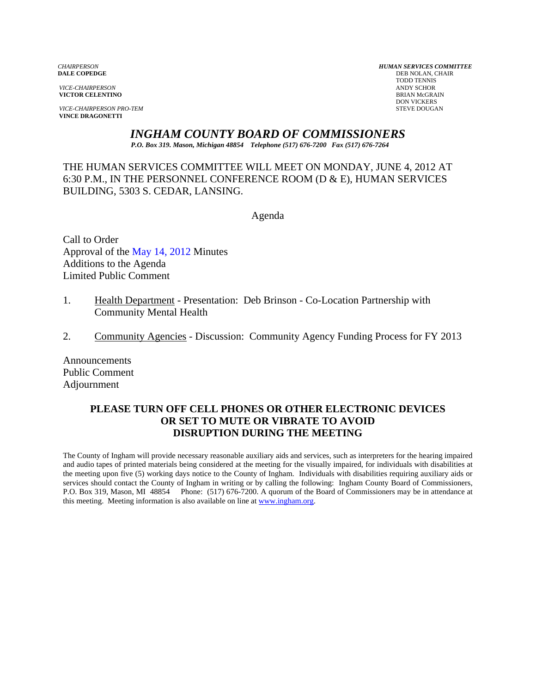**VICTOR CELENTINO** 

*VICE-CHAIRPERSON PRO-TEM* STEVE DOUGAN **VINCE DRAGONETTI** 

*CHAIRPERSON HUMAN SERVICES COMMITTEE* **DEB NOLAN, CHAIR**  TODD TENNIS *VICE-CHAIRPERSON* ANDY SCHOR DON VICKERS

*INGHAM COUNTY BOARD OF COMMISSIONERS* 

*P.O. Box 319. Mason, Michigan 48854 Telephone (517) 676-7200 Fax (517) 676-7264*

THE HUMAN SERVICES COMMITTEE WILL MEET ON MONDAY, JUNE 4, 2012 AT 6:30 P.M., IN THE PERSONNEL CONFERENCE ROOM (D & E), HUMAN SERVICES BUILDING, 5303 S. CEDAR, LANSING.

Agenda

Call to Order Approval o[f the May 14, 2012 Minutes](#page-1-0)  Additions to the Agenda Limited Public Comment

- 1. Health Department Presentation: Deb Brinson Co-Location Partnership with Community Mental Health
- 2. Community Agencies Discussion: Community Agency Funding Process for FY 2013

Announcements Public Comment Adjournment

#### **PLEASE TURN OFF CELL PHONES OR OTHER ELECTRONIC DEVICES OR SET TO MUTE OR VIBRATE TO AVOID DISRUPTION DURING THE MEETING**

The County of Ingham will provide necessary reasonable auxiliary aids and services, such as interpreters for the hearing impaired and audio tapes of printed materials being considered at the meeting for the visually impaired, for individuals with disabilities at the meeting upon five (5) working days notice to the County of Ingham. Individuals with disabilities requiring auxiliary aids or services should contact the County of Ingham in writing or by calling the following: Ingham County Board of Commissioners, P.O. Box 319, Mason, MI 48854 Phone: (517) 676-7200. A quorum of the Board of Commissioners may be in attendance at this meeting. Meeting information is also available on line at www.ingham.org.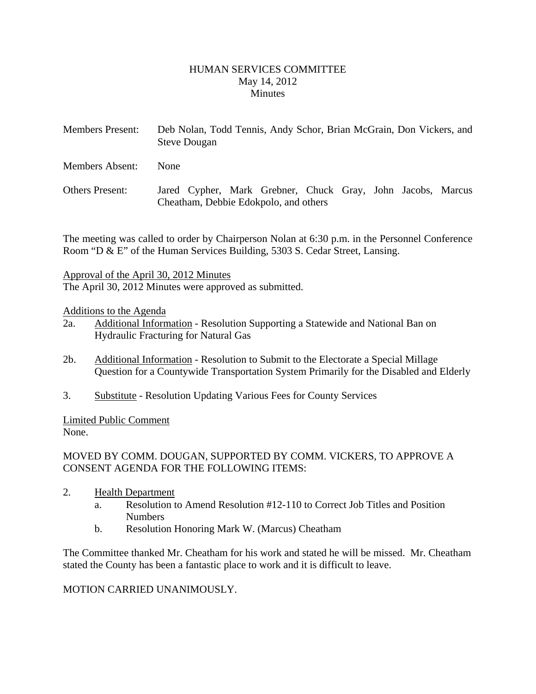#### HUMAN SERVICES COMMITTEE May 14, 2012 **Minutes**

- <span id="page-1-0"></span>Members Present: Deb Nolan, Todd Tennis, Andy Schor, Brian McGrain, Don Vickers, and Steve Dougan
- Members Absent: None
- Others Present: Jared Cypher, Mark Grebner, Chuck Gray, John Jacobs, Marcus Cheatham, Debbie Edokpolo, and others

The meeting was called to order by Chairperson Nolan at 6:30 p.m. in the Personnel Conference Room "D & E" of the Human Services Building, 5303 S. Cedar Street, Lansing.

Approval of the April 30, 2012 Minutes

The April 30, 2012 Minutes were approved as submitted.

# Additions to the Agenda

- 2a. Additional Information Resolution Supporting a Statewide and National Ban on Hydraulic Fracturing for Natural Gas
- 2b. Additional Information Resolution to Submit to the Electorate a Special Millage Question for a Countywide Transportation System Primarily for the Disabled and Elderly
- 3. Substitute Resolution Updating Various Fees for County Services

Limited Public Comment None.

# MOVED BY COMM. DOUGAN, SUPPORTED BY COMM. VICKERS, TO APPROVE A CONSENT AGENDA FOR THE FOLLOWING ITEMS:

- 2. Health Department
	- a. Resolution to Amend Resolution #12-110 to Correct Job Titles and Position Numbers
	- b. Resolution Honoring Mark W. (Marcus) Cheatham

The Committee thanked Mr. Cheatham for his work and stated he will be missed. Mr. Cheatham stated the County has been a fantastic place to work and it is difficult to leave.

# MOTION CARRIED UNANIMOUSLY.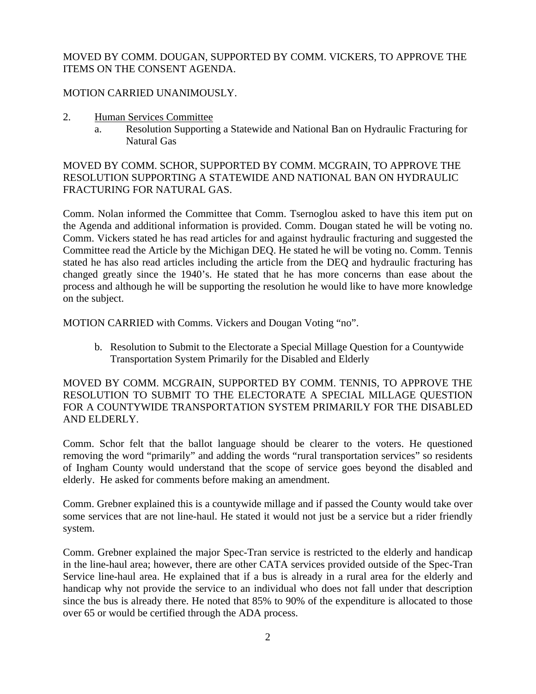#### MOVED BY COMM. DOUGAN, SUPPORTED BY COMM. VICKERS, TO APPROVE THE ITEMS ON THE CONSENT AGENDA.

# MOTION CARRIED UNANIMOUSLY.

- 2. Human Services Committee
	- a. Resolution Supporting a Statewide and National Ban on Hydraulic Fracturing for Natural Gas

MOVED BY COMM. SCHOR, SUPPORTED BY COMM. MCGRAIN, TO APPROVE THE RESOLUTION SUPPORTING A STATEWIDE AND NATIONAL BAN ON HYDRAULIC FRACTURING FOR NATURAL GAS.

Comm. Nolan informed the Committee that Comm. Tsernoglou asked to have this item put on the Agenda and additional information is provided. Comm. Dougan stated he will be voting no. Comm. Vickers stated he has read articles for and against hydraulic fracturing and suggested the Committee read the Article by the Michigan DEQ. He stated he will be voting no. Comm. Tennis stated he has also read articles including the article from the DEQ and hydraulic fracturing has changed greatly since the 1940's. He stated that he has more concerns than ease about the process and although he will be supporting the resolution he would like to have more knowledge on the subject.

MOTION CARRIED with Comms. Vickers and Dougan Voting "no".

b. Resolution to Submit to the Electorate a Special Millage Question for a Countywide Transportation System Primarily for the Disabled and Elderly

MOVED BY COMM. MCGRAIN, SUPPORTED BY COMM. TENNIS, TO APPROVE THE RESOLUTION TO SUBMIT TO THE ELECTORATE A SPECIAL MILLAGE QUESTION FOR A COUNTYWIDE TRANSPORTATION SYSTEM PRIMARILY FOR THE DISABLED AND ELDERLY.

Comm. Schor felt that the ballot language should be clearer to the voters. He questioned removing the word "primarily" and adding the words "rural transportation services" so residents of Ingham County would understand that the scope of service goes beyond the disabled and elderly. He asked for comments before making an amendment.

Comm. Grebner explained this is a countywide millage and if passed the County would take over some services that are not line-haul. He stated it would not just be a service but a rider friendly system.

Comm. Grebner explained the major Spec-Tran service is restricted to the elderly and handicap in the line-haul area; however, there are other CATA services provided outside of the Spec-Tran Service line-haul area. He explained that if a bus is already in a rural area for the elderly and handicap why not provide the service to an individual who does not fall under that description since the bus is already there. He noted that 85% to 90% of the expenditure is allocated to those over 65 or would be certified through the ADA process.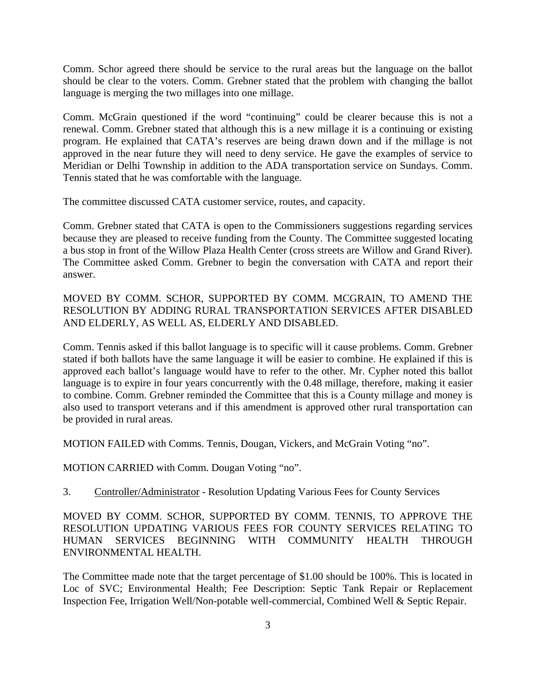Comm. Schor agreed there should be service to the rural areas but the language on the ballot should be clear to the voters. Comm. Grebner stated that the problem with changing the ballot language is merging the two millages into one millage.

Comm. McGrain questioned if the word "continuing" could be clearer because this is not a renewal. Comm. Grebner stated that although this is a new millage it is a continuing or existing program. He explained that CATA's reserves are being drawn down and if the millage is not approved in the near future they will need to deny service. He gave the examples of service to Meridian or Delhi Township in addition to the ADA transportation service on Sundays. Comm. Tennis stated that he was comfortable with the language.

The committee discussed CATA customer service, routes, and capacity.

Comm. Grebner stated that CATA is open to the Commissioners suggestions regarding services because they are pleased to receive funding from the County. The Committee suggested locating a bus stop in front of the Willow Plaza Health Center (cross streets are Willow and Grand River). The Committee asked Comm. Grebner to begin the conversation with CATA and report their answer.

MOVED BY COMM. SCHOR, SUPPORTED BY COMM. MCGRAIN, TO AMEND THE RESOLUTION BY ADDING RURAL TRANSPORTATION SERVICES AFTER DISABLED AND ELDERLY, AS WELL AS, ELDERLY AND DISABLED.

Comm. Tennis asked if this ballot language is to specific will it cause problems. Comm. Grebner stated if both ballots have the same language it will be easier to combine. He explained if this is approved each ballot's language would have to refer to the other. Mr. Cypher noted this ballot language is to expire in four years concurrently with the 0.48 millage, therefore, making it easier to combine. Comm. Grebner reminded the Committee that this is a County millage and money is also used to transport veterans and if this amendment is approved other rural transportation can be provided in rural areas.

MOTION FAILED with Comms. Tennis, Dougan, Vickers, and McGrain Voting "no".

MOTION CARRIED with Comm. Dougan Voting "no".

3. Controller/Administrator - Resolution Updating Various Fees for County Services

MOVED BY COMM. SCHOR, SUPPORTED BY COMM. TENNIS, TO APPROVE THE RESOLUTION UPDATING VARIOUS FEES FOR COUNTY SERVICES RELATING TO HUMAN SERVICES BEGINNING WITH COMMUNITY HEALTH THROUGH ENVIRONMENTAL HEALTH.

The Committee made note that the target percentage of \$1.00 should be 100%. This is located in Loc of SVC; Environmental Health; Fee Description: Septic Tank Repair or Replacement Inspection Fee, Irrigation Well/Non-potable well-commercial, Combined Well & Septic Repair.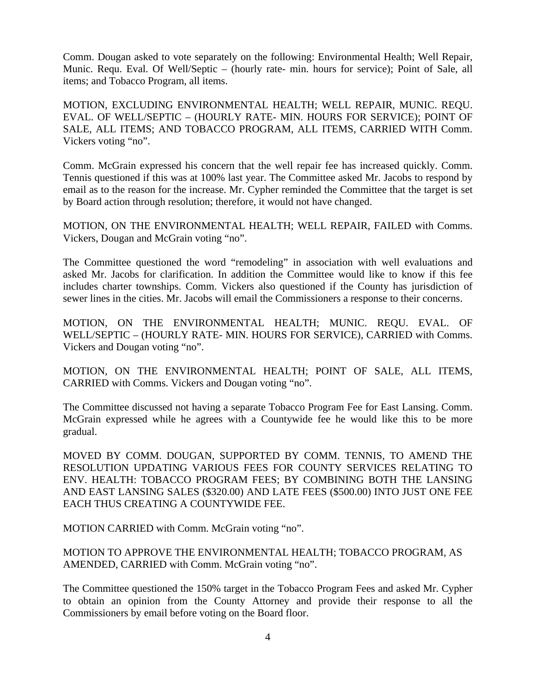Comm. Dougan asked to vote separately on the following: Environmental Health; Well Repair, Munic. Requ. Eval. Of Well/Septic – (hourly rate- min. hours for service); Point of Sale, all items; and Tobacco Program, all items.

MOTION, EXCLUDING ENVIRONMENTAL HEALTH; WELL REPAIR, MUNIC. REQU. EVAL. OF WELL/SEPTIC – (HOURLY RATE- MIN. HOURS FOR SERVICE); POINT OF SALE, ALL ITEMS; AND TOBACCO PROGRAM, ALL ITEMS, CARRIED WITH Comm. Vickers voting "no".

Comm. McGrain expressed his concern that the well repair fee has increased quickly. Comm. Tennis questioned if this was at 100% last year. The Committee asked Mr. Jacobs to respond by email as to the reason for the increase. Mr. Cypher reminded the Committee that the target is set by Board action through resolution; therefore, it would not have changed.

MOTION, ON THE ENVIRONMENTAL HEALTH; WELL REPAIR, FAILED with Comms. Vickers, Dougan and McGrain voting "no".

The Committee questioned the word "remodeling" in association with well evaluations and asked Mr. Jacobs for clarification. In addition the Committee would like to know if this fee includes charter townships. Comm. Vickers also questioned if the County has jurisdiction of sewer lines in the cities. Mr. Jacobs will email the Commissioners a response to their concerns.

MOTION, ON THE ENVIRONMENTAL HEALTH; MUNIC. REQU. EVAL. OF WELL/SEPTIC – (HOURLY RATE- MIN. HOURS FOR SERVICE), CARRIED with Comms. Vickers and Dougan voting "no".

MOTION, ON THE ENVIRONMENTAL HEALTH; POINT OF SALE, ALL ITEMS, CARRIED with Comms. Vickers and Dougan voting "no".

The Committee discussed not having a separate Tobacco Program Fee for East Lansing. Comm. McGrain expressed while he agrees with a Countywide fee he would like this to be more gradual.

MOVED BY COMM. DOUGAN, SUPPORTED BY COMM. TENNIS, TO AMEND THE RESOLUTION UPDATING VARIOUS FEES FOR COUNTY SERVICES RELATING TO ENV. HEALTH: TOBACCO PROGRAM FEES; BY COMBINING BOTH THE LANSING AND EAST LANSING SALES (\$320.00) AND LATE FEES (\$500.00) INTO JUST ONE FEE EACH THUS CREATING A COUNTYWIDE FEE.

MOTION CARRIED with Comm. McGrain voting "no".

MOTION TO APPROVE THE ENVIRONMENTAL HEALTH; TOBACCO PROGRAM, AS AMENDED, CARRIED with Comm. McGrain voting "no".

The Committee questioned the 150% target in the Tobacco Program Fees and asked Mr. Cypher to obtain an opinion from the County Attorney and provide their response to all the Commissioners by email before voting on the Board floor.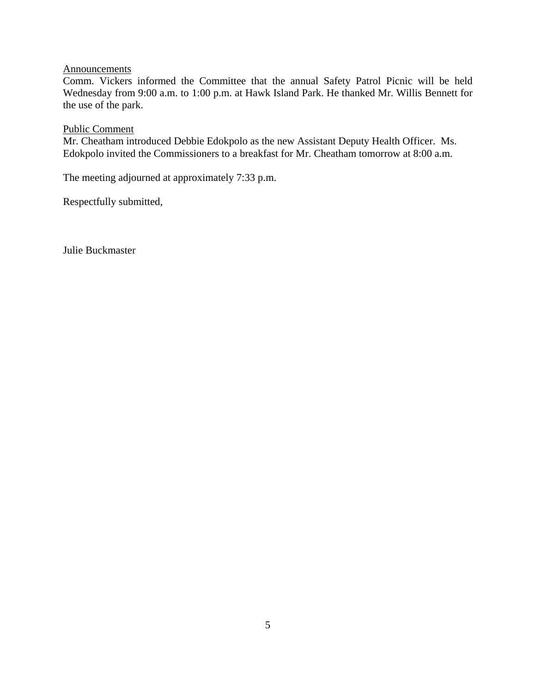# **Announcements**

Comm. Vickers informed the Committee that the annual Safety Patrol Picnic will be held Wednesday from 9:00 a.m. to 1:00 p.m. at Hawk Island Park. He thanked Mr. Willis Bennett for the use of the park.

#### Public Comment

Mr. Cheatham introduced Debbie Edokpolo as the new Assistant Deputy Health Officer. Ms. Edokpolo invited the Commissioners to a breakfast for Mr. Cheatham tomorrow at 8:00 a.m.

The meeting adjourned at approximately 7:33 p.m.

Respectfully submitted,

Julie Buckmaster